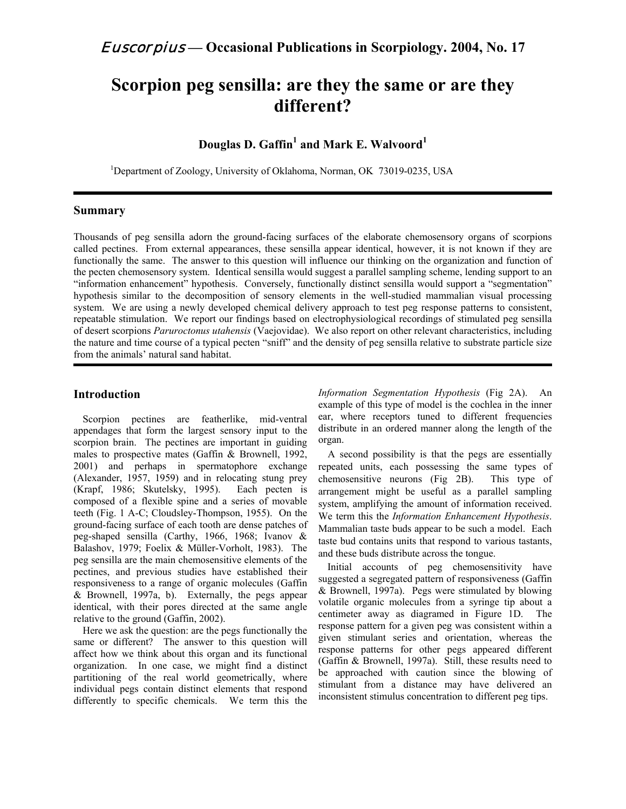# **Scorpion peg sensilla: are they the same or are they different?**

# $\bf{D}$ ouglas  $\bf{D}.$  Gaffin $^1$  and Mark E. Walvoord $^1$

<sup>1</sup>Department of Zoology, University of Oklahoma, Norman, OK 73019-0235, USA

# **Summary**

Thousands of peg sensilla adorn the ground-facing surfaces of the elaborate chemosensory organs of scorpions called pectines. From external appearances, these sensilla appear identical, however, it is not known if they are functionally the same. The answer to this question will influence our thinking on the organization and function of the pecten chemosensory system. Identical sensilla would suggest a parallel sampling scheme, lending support to an "information enhancement" hypothesis. Conversely, functionally distinct sensilla would support a "segmentation" hypothesis similar to the decomposition of sensory elements in the well-studied mammalian visual processing system. We are using a newly developed chemical delivery approach to test peg response patterns to consistent, repeatable stimulation. We report our findings based on electrophysiological recordings of stimulated peg sensilla of desert scorpions *Paruroctonus utahensis* (Vaejovidae). We also report on other relevant characteristics, including the nature and time course of a typical pecten "sniff" and the density of peg sensilla relative to substrate particle size from the animals' natural sand habitat.

# **Introduction**

Scorpion pectines are featherlike, mid-ventral appendages that form the largest sensory input to the scorpion brain. The pectines are important in guiding males to prospective mates (Gaffin & Brownell, 1992, 2001) and perhaps in spermatophore exchange (Alexander, 1957, 1959) and in relocating stung prey (Krapf, 1986; Skutelsky, 1995). Each pecten is composed of a flexible spine and a series of movable teeth (Fig. 1 A-C; Cloudsley-Thompson, 1955). On the ground-facing surface of each tooth are dense patches of peg-shaped sensilla (Carthy, 1966, 1968; Ivanov & Balashov, 1979; Foelix & Müller-Vorholt, 1983). The peg sensilla are the main chemosensitive elements of the pectines, and previous studies have established their responsiveness to a range of organic molecules (Gaffin & Brownell, 1997a, b). Externally, the pegs appear identical, with their pores directed at the same angle relative to the ground (Gaffin, 2002).

Here we ask the question: are the pegs functionally the same or different? The answer to this question will affect how we think about this organ and its functional organization. In one case, we might find a distinct partitioning of the real world geometrically, where individual pegs contain distinct elements that respond differently to specific chemicals. We term this the *Information Segmentation Hypothesis* (Fig 2A). An example of this type of model is the cochlea in the inner ear, where receptors tuned to different frequencies distribute in an ordered manner along the length of the organ.

A second possibility is that the pegs are essentially repeated units, each possessing the same types of chemosensitive neurons (Fig 2B). This type of arrangement might be useful as a parallel sampling system, amplifying the amount of information received. We term this the *Information Enhancement Hypothesis*. Mammalian taste buds appear to be such a model. Each taste bud contains units that respond to various tastants, and these buds distribute across the tongue.

Initial accounts of peg chemosensitivity have suggested a segregated pattern of responsiveness (Gaffin & Brownell, 1997a). Pegs were stimulated by blowing volatile organic molecules from a syringe tip about a centimeter away as diagramed in Figure 1D. The response pattern for a given peg was consistent within a given stimulant series and orientation, whereas the response patterns for other pegs appeared different (Gaffin & Brownell, 1997a). Still, these results need to be approached with caution since the blowing of stimulant from a distance may have delivered an inconsistent stimulus concentration to different peg tips.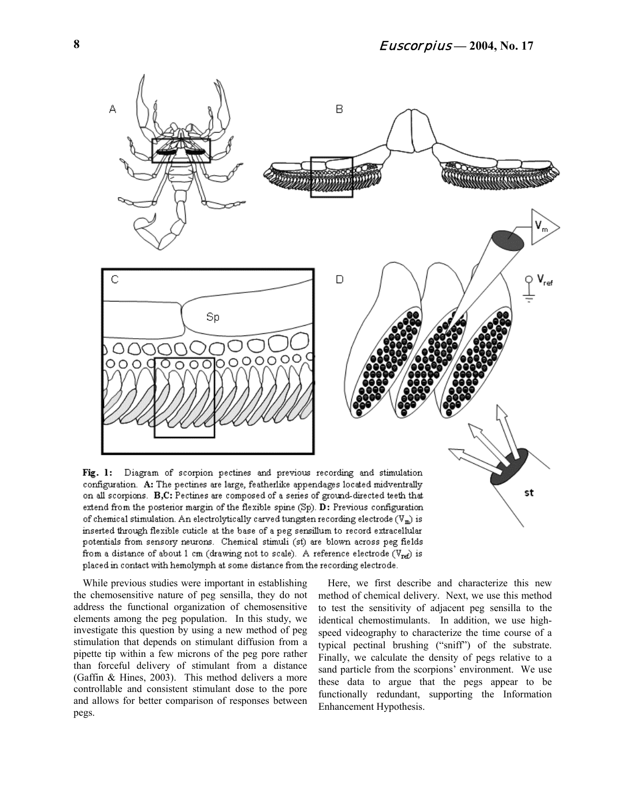

configuration. A: The pectines are large, featherlike appendages located midventrally on all scorpions.  $\, {\bf B},{\bf C}\,$ : Pectines are composed of a series of ground-directed teeth that extend from the posterior margin of the flexible spine (Sp). D: Previous configuration of chemical stimulation. An electrolytically carved tungsten recording electrode  $(V_m)$  is inserted through flexible cuticle at the base of a peg sensillum to record extracellular potentials from sensory neurons. Chemical stimuli (st) are blown across peg fields from a distance of about 1 cm (drawing not to scale). A reference electrode ( $V_{\text{ref}}$ ) is placed in contact with hemolymph at some distance from the recording electrode.

While previous studies were important in establishing the chemosensitive nature of peg sensilla, they do not address the functional organization of chemosensitive elements among the peg population. In this study, we investigate this question by using a new method of peg stimulation that depends on stimulant diffusion from a pipette tip within a few microns of the peg pore rather than forceful delivery of stimulant from a distance (Gaffin & Hines, 2003). This method delivers a more controllable and consistent stimulant dose to the pore and allows for better comparison of responses between pegs.

Here, we first describe and characterize this new method of chemical delivery. Next, we use this method to test the sensitivity of adjacent peg sensilla to the identical chemostimulants. In addition, we use highspeed videography to characterize the time course of a typical pectinal brushing ("sniff") of the substrate. Finally, we calculate the density of pegs relative to a sand particle from the scorpions' environment. We use these data to argue that the pegs appear to be functionally redundant, supporting the Information Enhancement Hypothesis.

st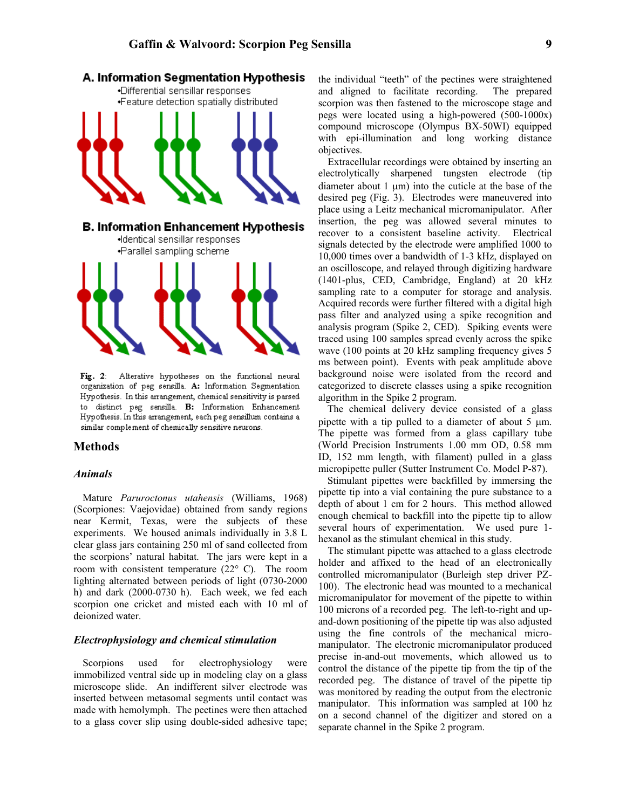

Fig. 2: Alterative hypotheses on the functional neural organization of peg sensilla. A: Information Segmentation Hypothesis. In this arrangement, chemical sensitivity is parsed to distinct peg sensilla. B: Information Enhancement Hypothesis. In this arrangement, each peg sensillum contains a similar complement of chemically sensitive neurons.

#### **Methods**

#### *Animals*

Mature *Paruroctonus utahensis* (Williams, 1968) (Scorpiones: Vaejovidae) obtained from sandy regions near Kermit, Texas, were the subjects of these experiments. We housed animals individually in 3.8 L clear glass jars containing 250 ml of sand collected from the scorpions' natural habitat. The jars were kept in a room with consistent temperature (22° C). The room lighting alternated between periods of light (0730-2000 h) and dark (2000-0730 h). Each week, we fed each scorpion one cricket and misted each with 10 ml of deionized water.

#### *Electrophysiology and chemical stimulation*

Scorpions used for electrophysiology were immobilized ventral side up in modeling clay on a glass microscope slide. An indifferent silver electrode was inserted between metasomal segments until contact was made with hemolymph. The pectines were then attached to a glass cover slip using double-sided adhesive tape;

the individual "teeth" of the pectines were straightened and aligned to facilitate recording. The prepared scorpion was then fastened to the microscope stage and pegs were located using a high-powered (500-1000x) compound microscope (Olympus BX-50WI) equipped with epi-illumination and long working distance objectives.

Extracellular recordings were obtained by inserting an electrolytically sharpened tungsten electrode (tip diameter about  $1 \mu m$ ) into the cuticle at the base of the desired peg (Fig. 3). Electrodes were maneuvered into place using a Leitz mechanical micromanipulator. After insertion, the peg was allowed several minutes to recover to a consistent baseline activity. Electrical signals detected by the electrode were amplified 1000 to 10,000 times over a bandwidth of 1-3 kHz, displayed on an oscilloscope, and relayed through digitizing hardware (1401-plus, CED, Cambridge, England) at 20 kHz sampling rate to a computer for storage and analysis. Acquired records were further filtered with a digital high pass filter and analyzed using a spike recognition and analysis program (Spike 2, CED). Spiking events were traced using 100 samples spread evenly across the spike wave (100 points at 20 kHz sampling frequency gives 5 ms between point). Events with peak amplitude above background noise were isolated from the record and categorized to discrete classes using a spike recognition algorithm in the Spike 2 program.

The chemical delivery device consisted of a glass pipette with a tip pulled to a diameter of about 5 µm. The pipette was formed from a glass capillary tube (World Precision Instruments 1.00 mm OD, 0.58 mm ID, 152 mm length, with filament) pulled in a glass micropipette puller (Sutter Instrument Co. Model P-87).

Stimulant pipettes were backfilled by immersing the pipette tip into a vial containing the pure substance to a depth of about 1 cm for 2 hours. This method allowed enough chemical to backfill into the pipette tip to allow several hours of experimentation. We used pure 1 hexanol as the stimulant chemical in this study.

The stimulant pipette was attached to a glass electrode holder and affixed to the head of an electronically controlled micromanipulator (Burleigh step driver PZ-100). The electronic head was mounted to a mechanical micromanipulator for movement of the pipette to within 100 microns of a recorded peg. The left-to-right and upand-down positioning of the pipette tip was also adjusted using the fine controls of the mechanical micromanipulator. The electronic micromanipulator produced precise in-and-out movements, which allowed us to control the distance of the pipette tip from the tip of the recorded peg. The distance of travel of the pipette tip was monitored by reading the output from the electronic manipulator. This information was sampled at 100 hz on a second channel of the digitizer and stored on a separate channel in the Spike 2 program.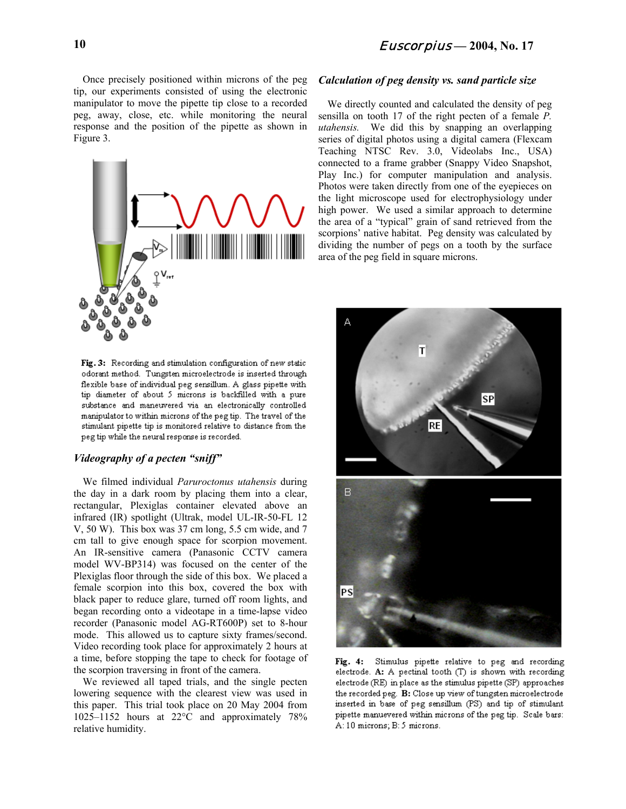Once precisely positioned within microns of the peg tip, our experiments consisted of using the electronic manipulator to move the pipette tip close to a recorded peg, away, close, etc. while monitoring the neural response and the position of the pipette as shown in Figure 3.



Fig. 3: Recording and stimulation configuration of new static odorant method. Tungsten microelectrode is inserted through flexible base of individual peg sensillum. A glass pipette with tip diameter of about 5 microns is backfilled with a pure substance and maneuvered via an electronically controlled manipulator to within microns of the peg tip. The travel of the stimulant pipette tip is monitored relative to distance from the peg tip while the neural response is recorded.

#### *Videography of a pecten "sniff"*

We filmed individual *Paruroctonus utahensis* during the day in a dark room by placing them into a clear, rectangular, Plexiglas container elevated above an infrared (IR) spotlight (Ultrak, model UL-IR-50-FL 12 V, 50 W). This box was 37 cm long, 5.5 cm wide, and 7 cm tall to give enough space for scorpion movement. An IR-sensitive camera (Panasonic CCTV camera model WV-BP314) was focused on the center of the Plexiglas floor through the side of this box. We placed a female scorpion into this box, covered the box with black paper to reduce glare, turned off room lights, and began recording onto a videotape in a time-lapse video recorder (Panasonic model AG-RT600P) set to 8-hour mode. This allowed us to capture sixty frames/second. Video recording took place for approximately 2 hours at a time, before stopping the tape to check for footage of the scorpion traversing in front of the camera.

We reviewed all taped trials, and the single pecten lowering sequence with the clearest view was used in this paper. This trial took place on 20 May 2004 from 1025–1152 hours at 22°C and approximately 78% relative humidity.

# *Calculation of peg density vs. sand particle size*

We directly counted and calculated the density of peg sensilla on tooth 17 of the right pecten of a female *P. utahensis.* We did this by snapping an overlapping series of digital photos using a digital camera (Flexcam Teaching NTSC Rev. 3.0, Videolabs Inc., USA) connected to a frame grabber (Snappy Video Snapshot, Play Inc.) for computer manipulation and analysis. Photos were taken directly from one of the eyepieces on the light microscope used for electrophysiology under high power. We used a similar approach to determine the area of a "typical" grain of sand retrieved from the scorpions' native habitat. Peg density was calculated by dividing the number of pegs on a tooth by the surface area of the peg field in square microns.



Fig. 4: Stimulus pipette relative to peg and recording electrode. A: A pectinal tooth  $(T)$  is shown with recording electrode (RE) in place as the stimulus pipette (SP) approaches the recorded peg. B: Close up view of tungsten microelectrode inserted in base of peg sensillum (PS) and tip of stimulant pipette manuevered within microns of the peg tip. Scale bars: A: 10 microns; B: 5 microns.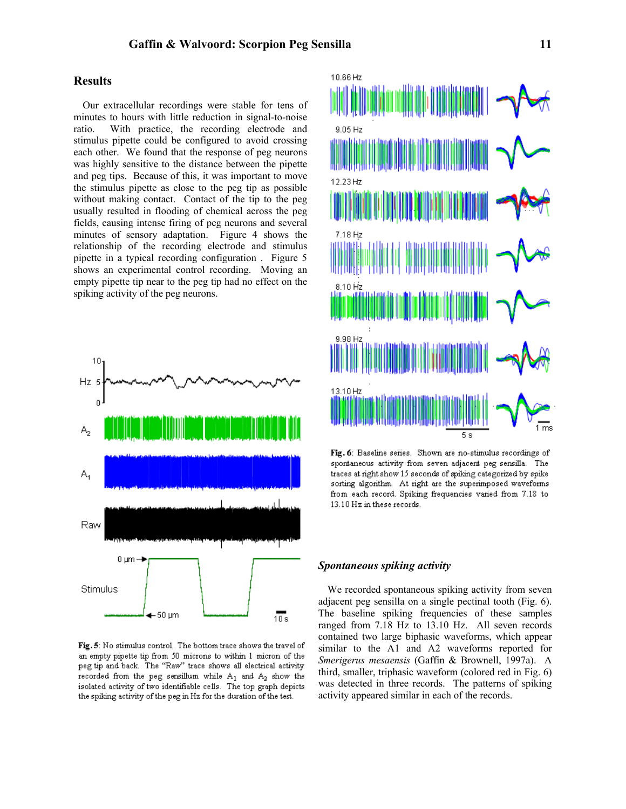### **Results**

Our extracellular recordings were stable for tens of minutes to hours with little reduction in signal-to-noise ratio. With practice, the recording electrode and stimulus pipette could be configured to avoid crossing each other. We found that the response of peg neurons was highly sensitive to the distance between the pipette and peg tips. Because of this, it was important to move the stimulus pipette as close to the peg tip as possible without making contact. Contact of the tip to the peg usually resulted in flooding of chemical across the peg fields, causing intense firing of peg neurons and several minutes of sensory adaptation. Figure 4 shows the relationship of the recording electrode and stimulus pipette in a typical recording configuration . Figure 5 shows an experimental control recording. Moving an empty pipette tip near to the peg tip had no effect on the spiking activity of the peg neurons.



Fig. 5: No stimulus control. The bottom trace shows the travel of an empty pipette tip from 50 microns to within 1 micron of the peg tip and back. The "Raw" trace shows all electrical activity recorded from the peg sensillum while  $A_1$  and  $A_2$  show the isolated activity of two identifiable cells. The top graph depicts the spiking activity of the peg in Hz for the duration of the test.



Fig. 6: Baseline series. Shown are no-stimulus recordings of spontaneous activity from seven adjacent peg sensilla. The traces at right show 15 seconds of spiking categorized by spike sorting algorithm. At right are the superimposed waveforms from each record. Spiking frequencies varied from 7.18 to 13.10 Hz in these records.

#### *Spontaneous spiking activity*

We recorded spontaneous spiking activity from seven adjacent peg sensilla on a single pectinal tooth (Fig. 6). The baseline spiking frequencies of these samples ranged from 7.18 Hz to 13.10 Hz. All seven records contained two large biphasic waveforms, which appear similar to the A1 and A2 waveforms reported for *Smerigerus mesaensis* (Gaffin & Brownell, 1997a). A third, smaller, triphasic waveform (colored red in Fig. 6) was detected in three records. The patterns of spiking activity appeared similar in each of the records.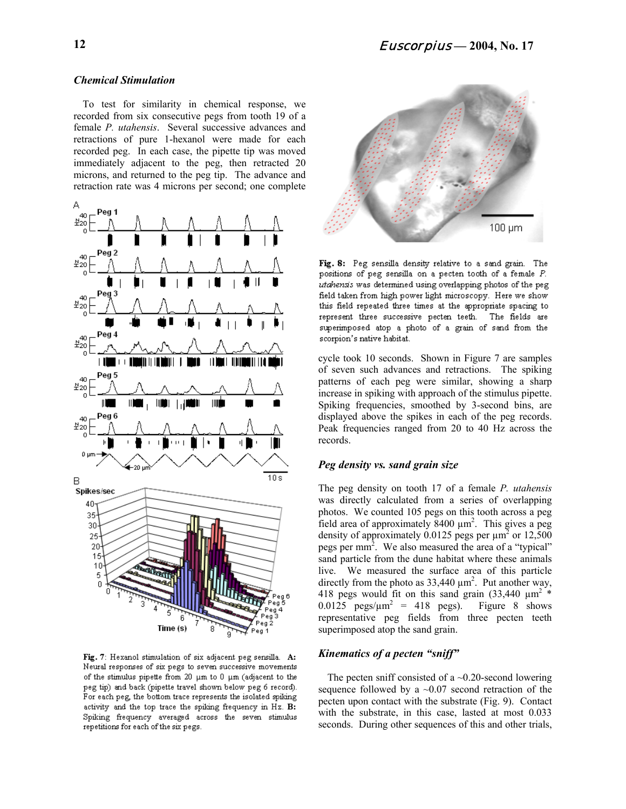### *Chemical Stimulation*

To test for similarity in chemical response, we recorded from six consecutive pegs from tooth 19 of a female *P. utahensis*. Several successive advances and retractions of pure 1-hexanol were made for each recorded peg. In each case, the pipette tip was moved immediately adjacent to the peg, then retracted 20 microns, and returned to the peg tip. The advance and retraction rate was 4 microns per second; one complete



Fig. 7: Hexanol stimulation of six adjacent peg sensilla. A: Neural responses of six pegs to seven successive movements of the stimulus pipette from 20  $\mu$ m to 0  $\mu$ m (adjacent to the peg tip) and back (pipette travel shown below peg 6 record). For each peg, the bottom trace represents the isolated spiking activity and the top trace the spiking frequency in Hz. B: Spiking frequency averaged across the seven stimulus repetitions for each of the six pegs.



Fig. 8: Peg sensilla density relative to a sand grain. The positions of peg sensilla on a pecten tooth of a female P. utahensis was determined using overlapping photos of the peg field taken from high power light microscopy. Here we show this field repeated three times at the appropriate spacing to represent three successive pecten teeth. The fields are superimposed atop a photo of a grain of sand from the scorpion's native habitat.

cycle took 10 seconds. Shown in Figure 7 are samples of seven such advances and retractions. The spiking patterns of each peg were similar, showing a sharp increase in spiking with approach of the stimulus pipette. Spiking frequencies, smoothed by 3-second bins, are displayed above the spikes in each of the peg records. Peak frequencies ranged from 20 to 40 Hz across the records.

#### *Peg density vs. sand grain size*

The peg density on tooth 17 of a female *P. utahensis* was directly calculated from a series of overlapping photos. We counted 105 pegs on this tooth across a peg field area of approximately  $8400 \mu m^2$ . This gives a peg density of approximately 0.0125 pegs per  $\mu$ m<sup>2</sup> or 12,500 pegs per mm<sup>2</sup>. We also measured the area of a "typical" sand particle from the dune habitat where these animals live. We measured the surface area of this particle directly from the photo as  $33,440 \mu m^2$ . Put another way, 418 pegs would fit on this sand grain  $(33,440 \mu m^2)^*$ 0.0125  $pegs/\mu m^2 = 418$  pegs). Figure 8 shows representative peg fields from three pecten teeth superimposed atop the sand grain.

# *Kinematics of a pecten "sniff"*

The pecten sniff consisted of a  $\sim$ 0.20-second lowering sequence followed by a  $\sim 0.07$  second retraction of the pecten upon contact with the substrate (Fig. 9). Contact with the substrate, in this case, lasted at most 0.033 seconds. During other sequences of this and other trials,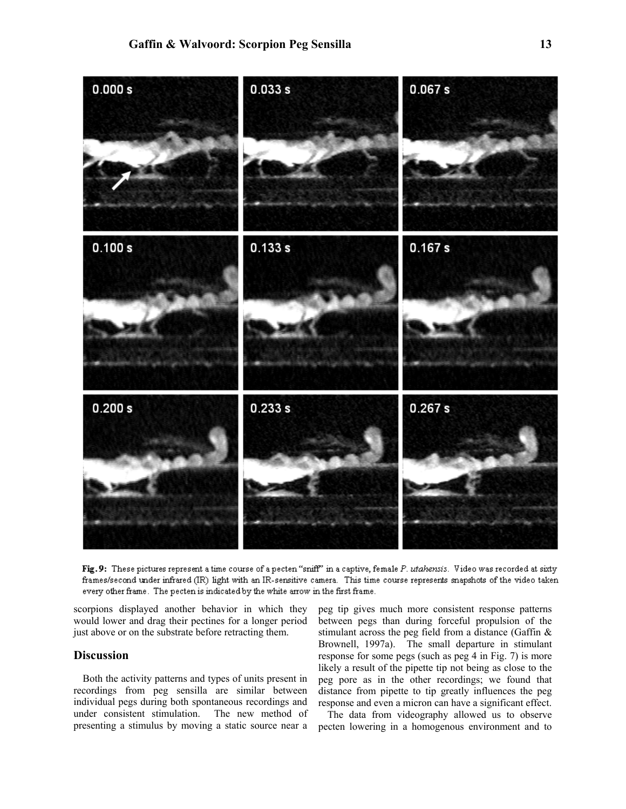

Fig. 9: These pictures represent a time course of a pecten "sniff" in a captive, female P. utahensis. Video was recorded at sixty frames/second under infrared (IR) light with an IR-sensitive camera. This time course represents snapshots of the video taken every other frame. The pecten is indicated by the white arrow in the first frame.

scorpions displayed another behavior in which they would lower and drag their pectines for a longer period just above or on the substrate before retracting them.

# **Discussion**

Both the activity patterns and types of units present in recordings from peg sensilla are similar between individual pegs during both spontaneous recordings and under consistent stimulation. The new method of presenting a stimulus by moving a static source near a

peg tip gives much more consistent response patterns between pegs than during forceful propulsion of the stimulant across the peg field from a distance (Gaffin & Brownell, 1997a). The small departure in stimulant response for some pegs (such as peg 4 in Fig. 7) is more likely a result of the pipette tip not being as close to the peg pore as in the other recordings; we found that distance from pipette to tip greatly influences the peg response and even a micron can have a significant effect.

The data from videography allowed us to observe pecten lowering in a homogenous environment and to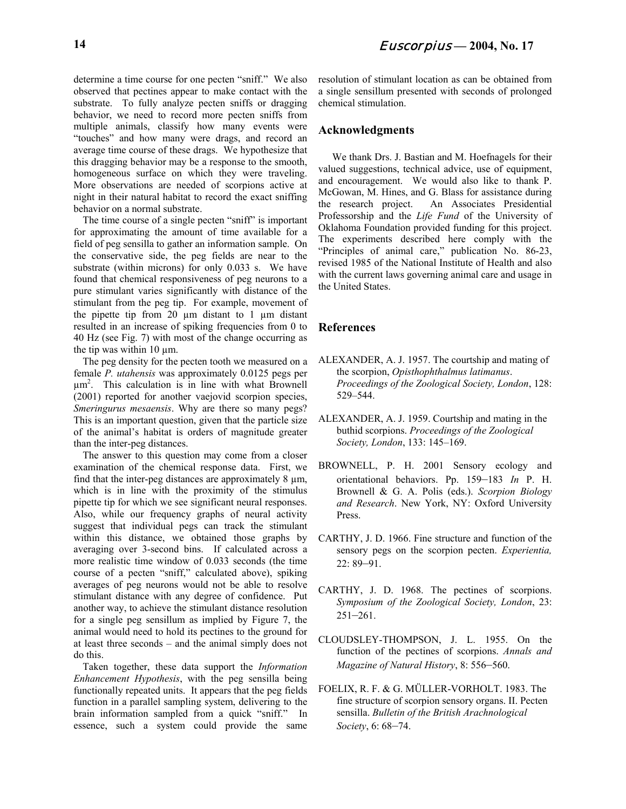determine a time course for one pecten "sniff." We also observed that pectines appear to make contact with the substrate. To fully analyze pecten sniffs or dragging behavior, we need to record more pecten sniffs from multiple animals, classify how many events were "touches" and how many were drags, and record an average time course of these drags. We hypothesize that this dragging behavior may be a response to the smooth, homogeneous surface on which they were traveling. More observations are needed of scorpions active at night in their natural habitat to record the exact sniffing behavior on a normal substrate.

The time course of a single pecten "sniff" is important for approximating the amount of time available for a field of peg sensilla to gather an information sample. On the conservative side, the peg fields are near to the substrate (within microns) for only 0.033 s. We have found that chemical responsiveness of peg neurons to a pure stimulant varies significantly with distance of the stimulant from the peg tip. For example, movement of the pipette tip from  $20 \mu m$  distant to 1  $\mu m$  distant resulted in an increase of spiking frequencies from 0 to 40 Hz (see Fig. 7) with most of the change occurring as the tip was within  $10 \mu m$ .

The peg density for the pecten tooth we measured on a female *P. utahensis* was approximately 0.0125 pegs per µm2 . This calculation is in line with what Brownell (2001) reported for another vaejovid scorpion species, *Smeringurus mesaensis*. Why are there so many pegs? This is an important question, given that the particle size of the animal's habitat is orders of magnitude greater than the inter-peg distances.

The answer to this question may come from a closer examination of the chemical response data. First, we find that the inter-peg distances are approximately  $8 \mu m$ , which is in line with the proximity of the stimulus pipette tip for which we see significant neural responses. Also, while our frequency graphs of neural activity suggest that individual pegs can track the stimulant within this distance, we obtained those graphs by averaging over 3-second bins. If calculated across a more realistic time window of 0.033 seconds (the time course of a pecten "sniff," calculated above), spiking averages of peg neurons would not be able to resolve stimulant distance with any degree of confidence. Put another way, to achieve the stimulant distance resolution for a single peg sensillum as implied by Figure 7, the animal would need to hold its pectines to the ground for at least three seconds – and the animal simply does not do this.

Taken together, these data support the *Information Enhancement Hypothesis*, with the peg sensilla being functionally repeated units. It appears that the peg fields function in a parallel sampling system, delivering to the brain information sampled from a quick "sniff." In essence, such a system could provide the same

resolution of stimulant location as can be obtained from a single sensillum presented with seconds of prolonged chemical stimulation.

# **Acknowledgments**

We thank Drs. J. Bastian and M. Hoefnagels for their valued suggestions, technical advice, use of equipment, and encouragement. We would also like to thank P. McGowan, M. Hines, and G. Blass for assistance during the research project. An Associates Presidential Professorship and the *Life Fund* of the University of Oklahoma Foundation provided funding for this project. The experiments described here comply with the "Principles of animal care," publication No. 86-23, revised 1985 of the National Institute of Health and also with the current laws governing animal care and usage in the United States.

#### **References**

- ALEXANDER, A. J. 1957. The courtship and mating of the scorpion, *Opisthophthalmus latimanus*. *Proceedings of the Zoological Society, London*, 128: 529–544.
- ALEXANDER, A. J. 1959. Courtship and mating in the buthid scorpions. *Proceedings of the Zoological Society, London*, 133: 145–169.
- BROWNELL, P. H. 2001 Sensory ecology and orientational behaviors. Pp. 159–183 *In* P. H. Brownell & G. A. Polis (eds.). *Scorpion Biology and Research*. New York, NY: Oxford University Press.
- CARTHY, J. D. 1966. Fine structure and function of the sensory pegs on the scorpion pecten. *Experientia,* 22: 89–91.
- CARTHY, J. D. 1968. The pectines of scorpions. *Symposium of the Zoological Society, London*, 23: 251–261.
- CLOUDSLEY-THOMPSON, J. L. 1955. On the function of the pectines of scorpions. *Annals and Magazine of Natural History*, 8: 556–560.
- FOELIX, R. F. & G. MÜLLER-VORHOLT. 1983. The fine structure of scorpion sensory organs. II. Pecten sensilla. *Bulletin of the British Arachnological Society*, 6: 68–74.